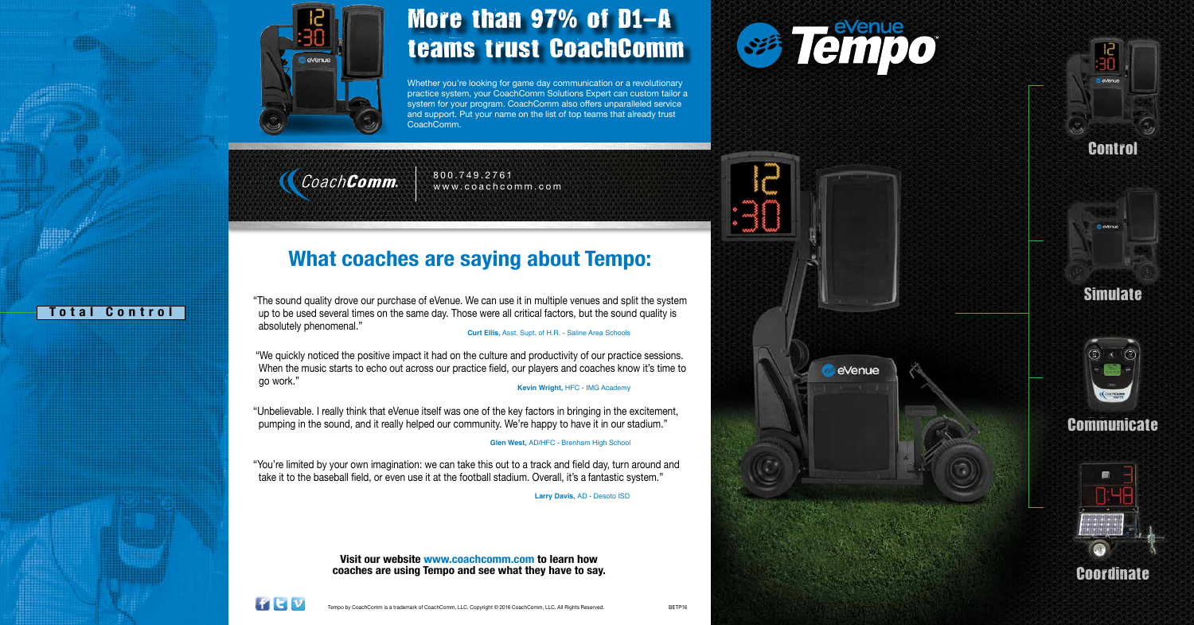

# More than 97% of D1-A teams trust CoachComm

Whether you're looking for game day communication or a revolutionary practice system, your CoachComm Solutions Expert can custom tailor a system for your program. CoachComm also offers unparalleled service and support. Put your name on the list of top teams that already trust CoachComm.

CoachComm.

# **What coaches are saying about Tempo:**

**Visit our website www.coachcomm.com to learn how coaches are using Tempo and see what they have to say.**



"The sound quality drove our purchase of eVenue. We can use it in multiple venues and split the system up to be used several times on the same day. Those were all critical factors, but the sound quality is absolutely phenomenal."

 **Curt Ellis,** Asst. Supt. of H.R. - Saline Area Schools

"We quickly noticed the positive impact it had on the culture and productivity of our practice sessions. When the music starts to echo out across our practice field, our players and coaches know it's time to go work." **Kevin Wright,** HFC - IMG Academy

"Unbelievable. I really think that eVenue itself was one of the key factors in bringing in the excitement, pumping in the sound, and it really helped our community. We're happy to have it in our stadium."

**Glen West,** AD/HFC - Brenham High School

"You're limited by your own imagination: we can take this out to a track and field day, turn around and take it to the baseball field, or even use it at the football stadium. Overall, it's a fantastic system."

 **Larry Davis,** AD - Desoto ISD

800.749.2761 www.coachcomm.com

**Total Control**